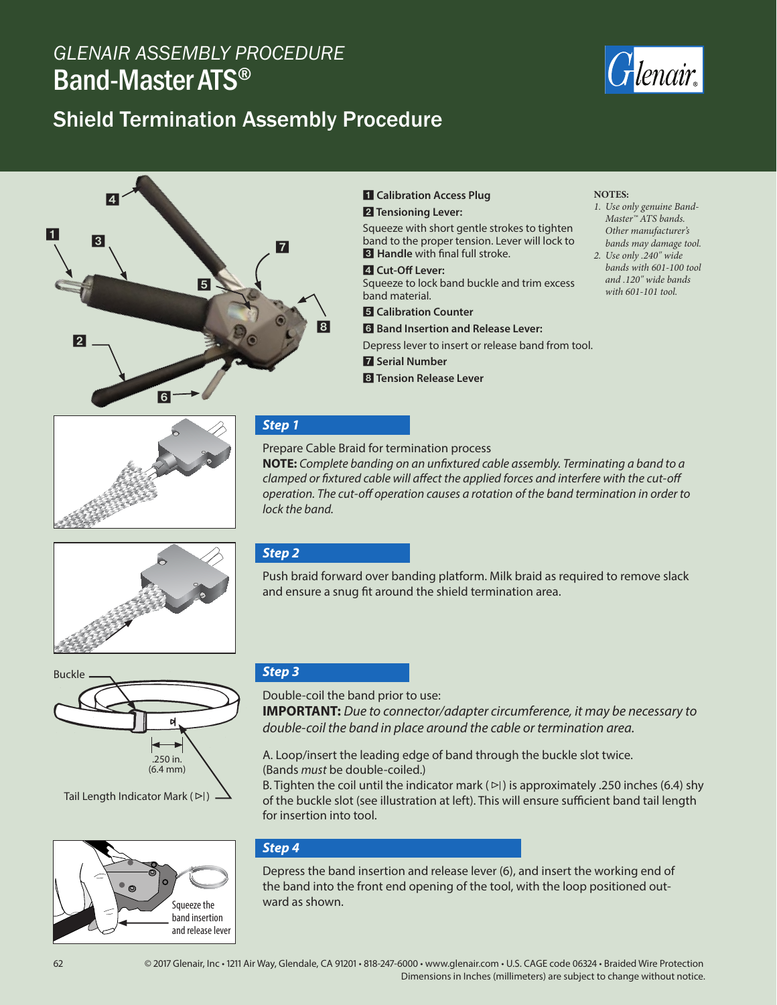# *GLENAIR ASSEMBLY PROCEDURE* Band-Master ATS®

# Shield Termination Assembly Procedure





#### 1 **Calibration Access Plug** 2 **Tensioning Lever:**

Squeeze with short gentle strokes to tighten band to the proper tension. Lever will lock to **8** Handle with final full stroke.

4 **Cut-Off Lever:**

Squeeze to lock band buckle and trim excess band material.

5 **Calibration Counter**

6 **Band Insertion and Release Lever:** Depress lever to insert or release band from tool.

7 **Serial Number**

Prepare Cable Braid for termination process

8 **Tension Release Lever**

#### **NOTES:**

- *1. Use only genuine Band-Master™ ATS bands. Other manufacturer's bands may damage tool.*
- *2. Use only .240" wide bands with 601-100 tool and .120" wide bands with 601-101 tool.*





Tail Length Indicator Mark  $($   $\triangleright$   $\mid$   $)$   $-$ 



# *Step 3*

Double-coil the band prior to use:

**IMPORTANT:** *Due to connector/adapter circumference, it may be necessary to double-coil the band in place around the cable or termination area.*

A. Loop/insert the leading edge of band through the buckle slot twice. (Bands *must* be double-coiled.)

B. Tighten the coil until the indicator mark ( $\triangleright$ ) is approximately .250 inches (6.4) shy of the buckle slot (see illustration at left). This will ensure sufficient band tail length for insertion into tool.

# *Step 4*

Depress the band insertion and release lever (6), and insert the working end of the band into the front end opening of the tool, with the loop positioned out-Squeeze the  $\vert$  ward as shown.



# *Step 2*

*lock the band.*

*Step 1*

Push braid forward over banding platform. Milk braid as required to remove slack and ensure a snug fit around the shield termination area.

**NOTE:** *Complete banding on an unfixtured cable assembly. Terminating a band to a clamped or fixtured cable will affect the applied forces and interfere with the cut-off operation. The cut-off operation causes a rotation of the band termination in order to*